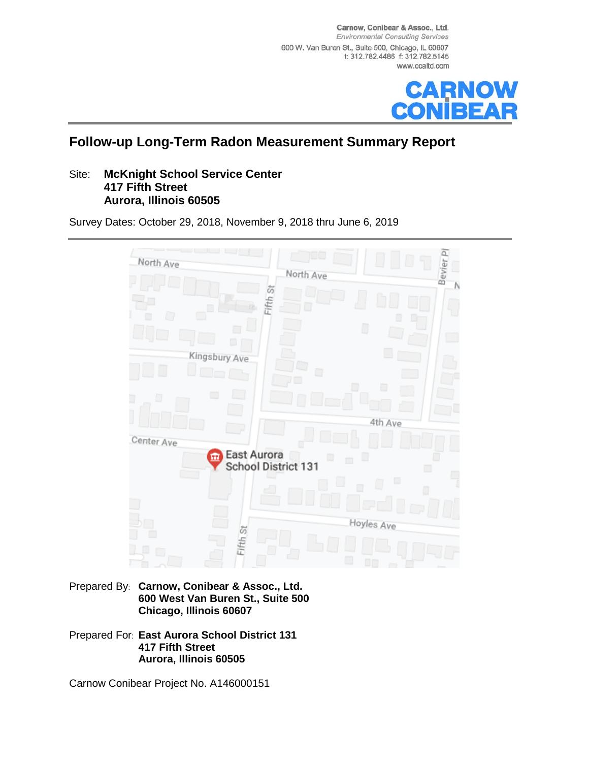Carnow, Conibear & Assoc., Ltd. **Environmental Consulting Services** 600 W. Van Buren St., Suite 500, Chicago, IL 60607 t: 312.782.4486 f: 312.782.5145 www.ccaltd.com



## **Follow-up Long-Term Radon Measurement Summary Report**

#### Site: **McKnight School Service Center 417 Fifth Street Aurora, Illinois 60505**

Survey Dates: October 29, 2018, November 9, 2018 thru June 6, 2019



Prepared By: **Carnow, Conibear & Assoc., Ltd. 600 West Van Buren St., Suite 500 Chicago, Illinois 60607**

Prepared For: **East Aurora School District 131 417 Fifth Street Aurora, Illinois 60505**

Carnow Conibear Project No. A146000151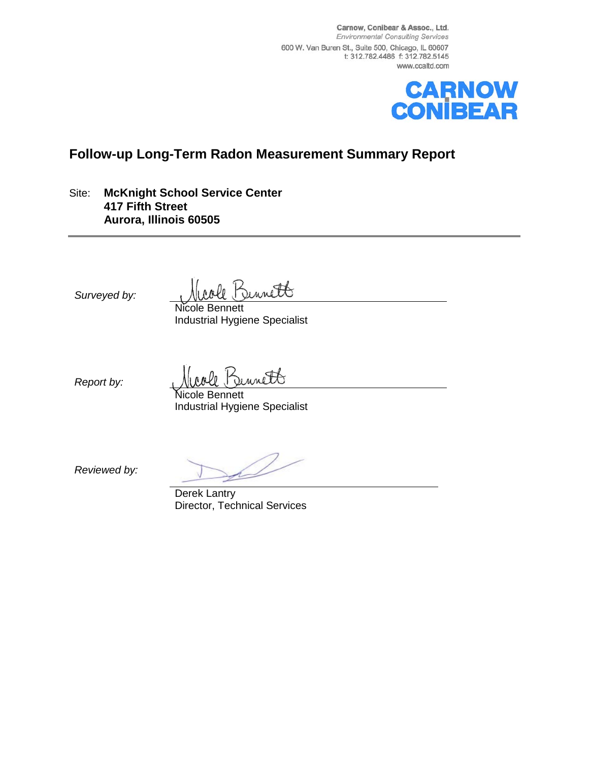Carnow, Conibear & Assoc., Ltd. **Environmental Consulting Services** 600 W. Van Buren St., Suite 500, Chicago, IL 60607 t: 312.782.4486 f: 312.782.5145 www.ccaltd.com



## **Follow-up Long-Term Radon Measurement Summary Report**

Site: **McKnight School Service Center 417 Fifth Street Aurora, Illinois 60505**

*Surveyed by:*

unitt

Nicole Bennett Industrial Hygiene Specialist

*Report by:*

unett

icole Bennett Industrial Hygiene Specialist

*Reviewed by:*

Derek Lantry Director, Technical Services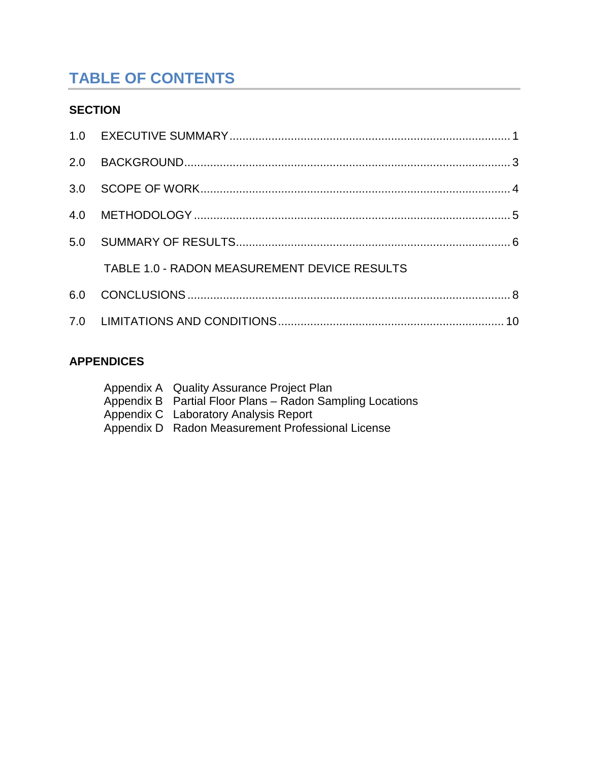# **TABLE OF CONTENTS**

## **SECTION**

| TABLE 1.0 - RADON MEASUREMENT DEVICE RESULTS |  |
|----------------------------------------------|--|
|                                              |  |
|                                              |  |

## **APPENDICES**

| Appendix A Quality Assurance Project Plan                 |
|-----------------------------------------------------------|
| Appendix B Partial Floor Plans - Radon Sampling Locations |
| Appendix C Laboratory Analysis Report                     |
| Appendix D Radon Measurement Professional License         |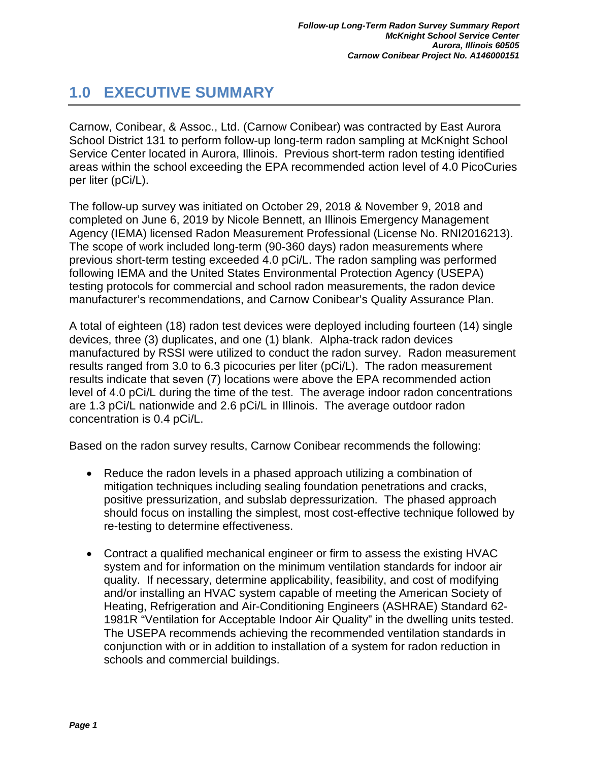## <span id="page-3-0"></span>**1.0 EXECUTIVE SUMMARY**

Carnow, Conibear, & Assoc., Ltd. (Carnow Conibear) was contracted by East Aurora School District 131 to perform follow-up long-term radon sampling at McKnight School Service Center located in Aurora, Illinois. Previous short-term radon testing identified areas within the school exceeding the EPA recommended action level of 4.0 PicoCuries per liter (pCi/L).

The follow-up survey was initiated on October 29, 2018 & November 9, 2018 and completed on June 6, 2019 by Nicole Bennett, an Illinois Emergency Management Agency (IEMA) licensed Radon Measurement Professional (License No. RNI2016213). The scope of work included long-term (90-360 days) radon measurements where previous short-term testing exceeded 4.0 pCi/L. The radon sampling was performed following IEMA and the United States Environmental Protection Agency (USEPA) testing protocols for commercial and school radon measurements, the radon device manufacturer's recommendations, and Carnow Conibear's Quality Assurance Plan.

A total of eighteen (18) radon test devices were deployed including fourteen (14) single devices, three (3) duplicates, and one (1) blank. Alpha-track radon devices manufactured by RSSI were utilized to conduct the radon survey. Radon measurement results ranged from 3.0 to 6.3 picocuries per liter (pCi/L). The radon measurement results indicate that seven (7) locations were above the EPA recommended action level of 4.0 pCi/L during the time of the test. The average indoor radon concentrations are 1.3 pCi/L nationwide and 2.6 pCi/L in Illinois. The average outdoor radon concentration is 0.4 pCi/L.

Based on the radon survey results, Carnow Conibear recommends the following:

- Reduce the radon levels in a phased approach utilizing a combination of mitigation techniques including sealing foundation penetrations and cracks, positive pressurization, and subslab depressurization. The phased approach should focus on installing the simplest, most cost-effective technique followed by re-testing to determine effectiveness.
- Contract a qualified mechanical engineer or firm to assess the existing HVAC system and for information on the minimum ventilation standards for indoor air quality. If necessary, determine applicability, feasibility, and cost of modifying and/or installing an HVAC system capable of meeting the American Society of Heating, Refrigeration and Air-Conditioning Engineers (ASHRAE) Standard 62- 1981R "Ventilation for Acceptable Indoor Air Quality" in the dwelling units tested. The USEPA recommends achieving the recommended ventilation standards in conjunction with or in addition to installation of a system for radon reduction in schools and commercial buildings.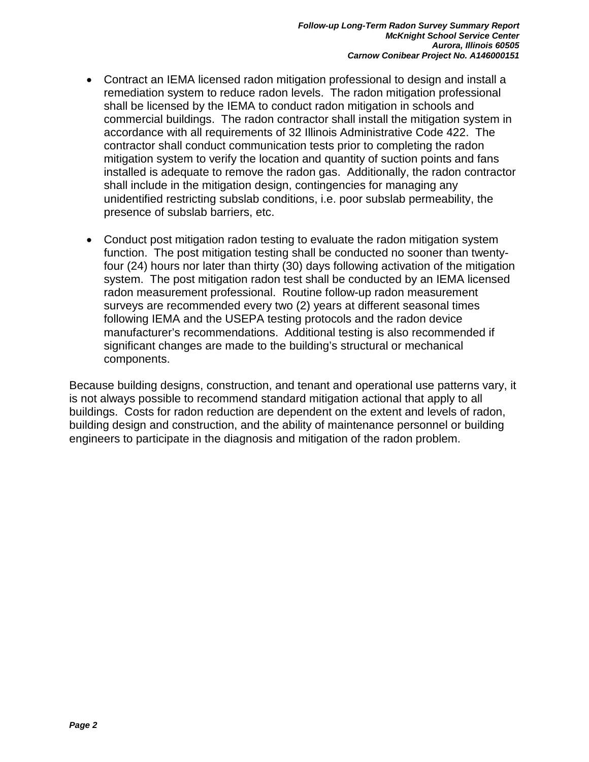- Contract an IEMA licensed radon mitigation professional to design and install a remediation system to reduce radon levels. The radon mitigation professional shall be licensed by the IEMA to conduct radon mitigation in schools and commercial buildings. The radon contractor shall install the mitigation system in accordance with all requirements of 32 Illinois Administrative Code 422. The contractor shall conduct communication tests prior to completing the radon mitigation system to verify the location and quantity of suction points and fans installed is adequate to remove the radon gas. Additionally, the radon contractor shall include in the mitigation design, contingencies for managing any unidentified restricting subslab conditions, i.e. poor subslab permeability, the presence of subslab barriers, etc.
- Conduct post mitigation radon testing to evaluate the radon mitigation system function. The post mitigation testing shall be conducted no sooner than twentyfour (24) hours nor later than thirty (30) days following activation of the mitigation system. The post mitigation radon test shall be conducted by an IEMA licensed radon measurement professional. Routine follow-up radon measurement surveys are recommended every two (2) years at different seasonal times following IEMA and the USEPA testing protocols and the radon device manufacturer's recommendations. Additional testing is also recommended if significant changes are made to the building's structural or mechanical components.

Because building designs, construction, and tenant and operational use patterns vary, it is not always possible to recommend standard mitigation actional that apply to all buildings. Costs for radon reduction are dependent on the extent and levels of radon, building design and construction, and the ability of maintenance personnel or building engineers to participate in the diagnosis and mitigation of the radon problem.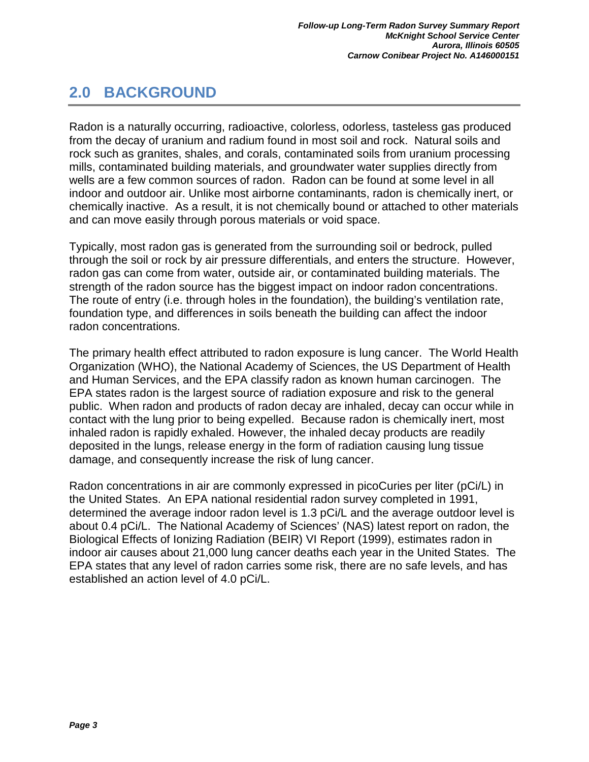## <span id="page-5-0"></span>**2.0 BACKGROUND**

Radon is a naturally occurring, radioactive, colorless, odorless, tasteless gas produced from the decay of uranium and radium found in most soil and rock. Natural soils and rock such as granites, shales, and corals, contaminated soils from uranium processing mills, contaminated building materials, and groundwater water supplies directly from wells are a few common sources of radon. Radon can be found at some level in all indoor and outdoor air. Unlike most airborne contaminants, radon is chemically inert, or chemically inactive. As a result, it is not chemically bound or attached to other materials and can move easily through porous materials or void space.

Typically, most radon gas is generated from the surrounding soil or bedrock, pulled through the soil or rock by air pressure differentials, and enters the structure. However, radon gas can come from water, outside air, or contaminated building materials. The strength of the radon source has the biggest impact on indoor radon concentrations. The route of entry (i.e. through holes in the foundation), the building's ventilation rate, foundation type, and differences in soils beneath the building can affect the indoor radon concentrations.

The primary health effect attributed to radon exposure is lung cancer. The World Health Organization (WHO), the National Academy of Sciences, the US Department of Health and Human Services, and the EPA classify radon as known human carcinogen. The EPA states radon is the largest source of radiation exposure and risk to the general public. When radon and products of radon decay are inhaled, decay can occur while in contact with the lung prior to being expelled. Because radon is chemically inert, most inhaled radon is rapidly exhaled. However, the inhaled decay products are readily deposited in the lungs, release energy in the form of radiation causing lung tissue damage, and consequently increase the risk of lung cancer.

Radon concentrations in air are commonly expressed in picoCuries per liter (pCi/L) in the United States. An EPA national residential radon survey completed in 1991, determined the average indoor radon level is 1.3 pCi/L and the average outdoor level is about 0.4 pCi/L. The National Academy of Sciences' (NAS) latest report on radon, the Biological Effects of Ionizing Radiation (BEIR) VI Report (1999), estimates radon in indoor air causes about 21,000 lung cancer deaths each year in the United States. The EPA states that any level of radon carries some risk, there are no safe levels, and has established an action level of 4.0 pCi/L.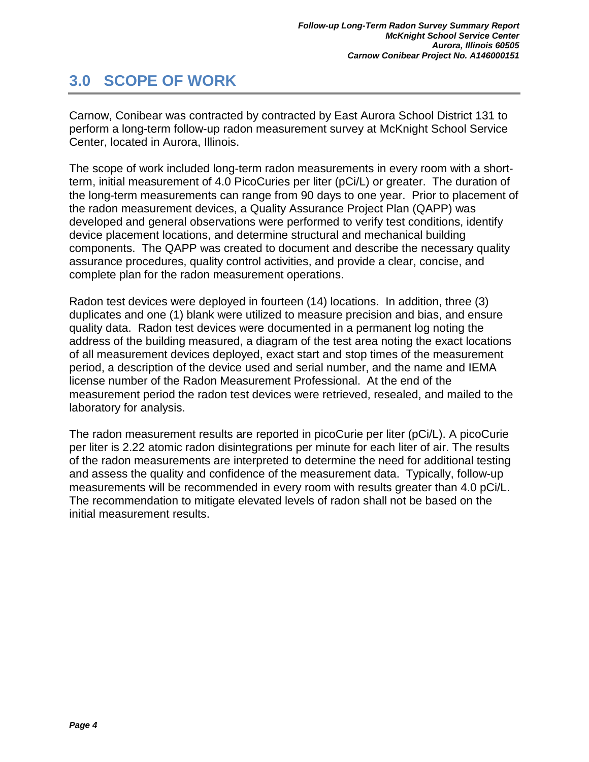## <span id="page-6-0"></span>**3.0 SCOPE OF WORK**

Carnow, Conibear was contracted by contracted by East Aurora School District 131 to perform a long-term follow-up radon measurement survey at McKnight School Service Center, located in Aurora, Illinois.

The scope of work included long-term radon measurements in every room with a shortterm, initial measurement of 4.0 PicoCuries per liter (pCi/L) or greater. The duration of the long-term measurements can range from 90 days to one year. Prior to placement of the radon measurement devices, a Quality Assurance Project Plan (QAPP) was developed and general observations were performed to verify test conditions, identify device placement locations, and determine structural and mechanical building components. The QAPP was created to document and describe the necessary quality assurance procedures, quality control activities, and provide a clear, concise, and complete plan for the radon measurement operations.

Radon test devices were deployed in fourteen (14) locations. In addition, three (3) duplicates and one (1) blank were utilized to measure precision and bias, and ensure quality data. Radon test devices were documented in a permanent log noting the address of the building measured, a diagram of the test area noting the exact locations of all measurement devices deployed, exact start and stop times of the measurement period, a description of the device used and serial number, and the name and IEMA license number of the Radon Measurement Professional. At the end of the measurement period the radon test devices were retrieved, resealed, and mailed to the laboratory for analysis.

The radon measurement results are reported in picoCurie per liter (pCi/L). A picoCurie per liter is 2.22 atomic radon disintegrations per minute for each liter of air. The results of the radon measurements are interpreted to determine the need for additional testing and assess the quality and confidence of the measurement data. Typically, follow-up measurements will be recommended in every room with results greater than 4.0 pCi/L. The recommendation to mitigate elevated levels of radon shall not be based on the initial measurement results.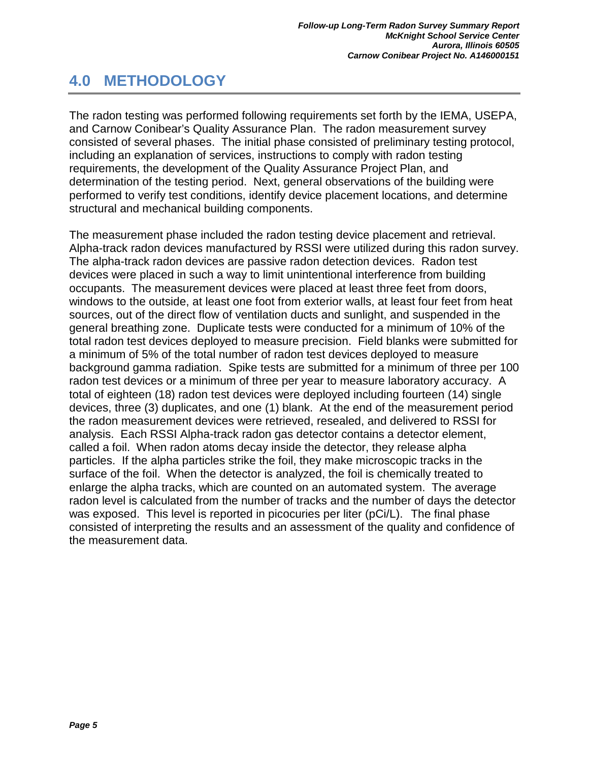## <span id="page-7-0"></span>**4.0 METHODOLOGY**

The radon testing was performed following requirements set forth by the IEMA, USEPA, and Carnow Conibear's Quality Assurance Plan. The radon measurement survey consisted of several phases. The initial phase consisted of preliminary testing protocol, including an explanation of services, instructions to comply with radon testing requirements, the development of the Quality Assurance Project Plan, and determination of the testing period. Next, general observations of the building were performed to verify test conditions, identify device placement locations, and determine structural and mechanical building components.

The measurement phase included the radon testing device placement and retrieval. Alpha-track radon devices manufactured by RSSI were utilized during this radon survey. The alpha-track radon devices are passive radon detection devices. Radon test devices were placed in such a way to limit unintentional interference from building occupants. The measurement devices were placed at least three feet from doors, windows to the outside, at least one foot from exterior walls, at least four feet from heat sources, out of the direct flow of ventilation ducts and sunlight, and suspended in the general breathing zone. Duplicate tests were conducted for a minimum of 10% of the total radon test devices deployed to measure precision. Field blanks were submitted for a minimum of 5% of the total number of radon test devices deployed to measure background gamma radiation. Spike tests are submitted for a minimum of three per 100 radon test devices or a minimum of three per year to measure laboratory accuracy. A total of eighteen (18) radon test devices were deployed including fourteen (14) single devices, three (3) duplicates, and one (1) blank. At the end of the measurement period the radon measurement devices were retrieved, resealed, and delivered to RSSI for analysis. Each RSSI Alpha-track radon gas detector contains a detector element, called a foil. When radon atoms decay inside the detector, they release alpha particles. If the alpha particles strike the foil, they make microscopic tracks in the surface of the foil. When the detector is analyzed, the foil is chemically treated to enlarge the alpha tracks, which are counted on an automated system. The average radon level is calculated from the number of tracks and the number of days the detector was exposed. This level is reported in picocuries per liter (pCi/L). The final phase consisted of interpreting the results and an assessment of the quality and confidence of the measurement data.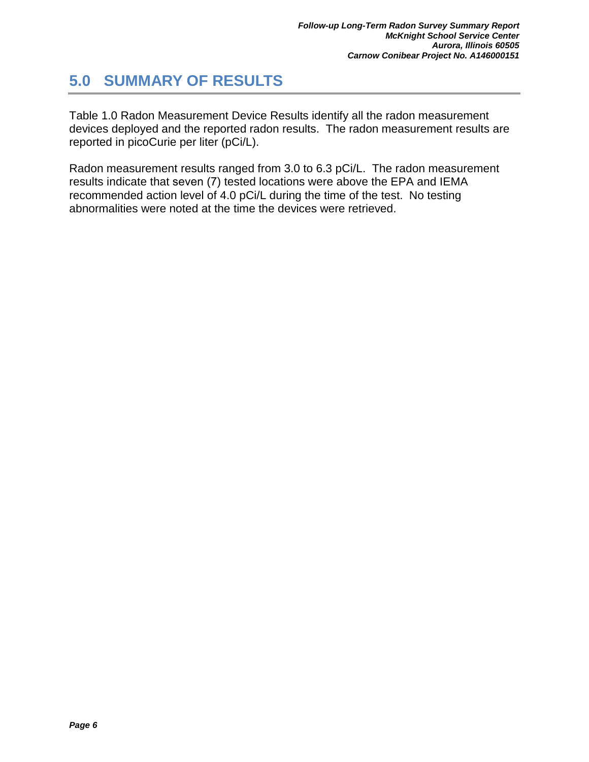## <span id="page-8-0"></span>**5.0 SUMMARY OF RESULTS**

Table 1.0 Radon Measurement Device Results identify all the radon measurement devices deployed and the reported radon results. The radon measurement results are reported in picoCurie per liter (pCi/L).

Radon measurement results ranged from 3.0 to 6.3 pCi/L. The radon measurement results indicate that seven (7) tested locations were above the EPA and IEMA recommended action level of 4.0 pCi/L during the time of the test. No testing abnormalities were noted at the time the devices were retrieved.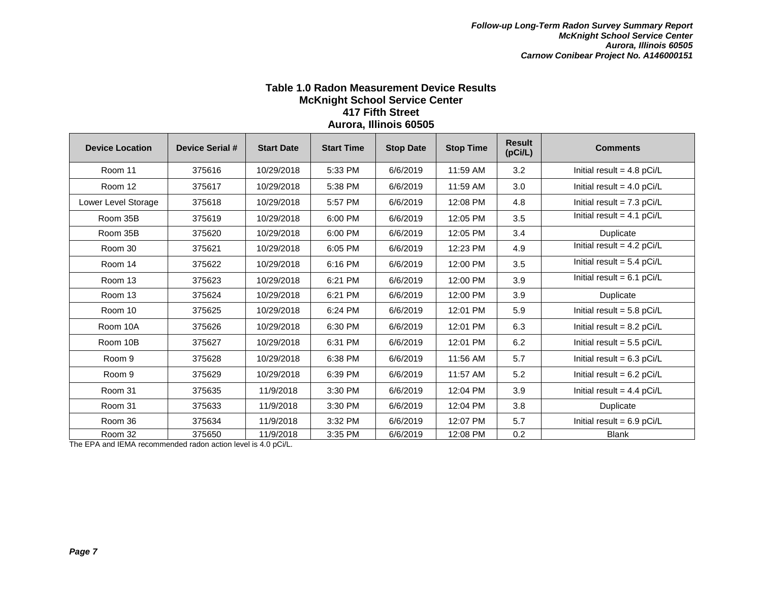#### **Table 1.0 Radon Measurement Device Results McKnight School Service Center 417 Fifth Street Aurora, Illinois 60505**

| <b>Device Location</b> | <b>Device Serial #</b> | <b>Start Date</b> | <b>Start Time</b> | <b>Stop Date</b> | <b>Stop Time</b> | <b>Result</b><br>(pCi/L) | <b>Comments</b>              |
|------------------------|------------------------|-------------------|-------------------|------------------|------------------|--------------------------|------------------------------|
| Room 11                | 375616                 | 10/29/2018        | 5:33 PM           | 6/6/2019         | 11:59 AM         | 3.2                      | Initial result = $4.8$ pCi/L |
| Room 12                | 375617                 | 10/29/2018        | 5:38 PM           | 6/6/2019         | 11:59 AM         | 3.0                      | Initial result = $4.0$ pCi/L |
| Lower Level Storage    | 375618                 | 10/29/2018        | 5:57 PM           | 6/6/2019         | 12:08 PM         | 4.8                      | Initial result = $7.3$ pCi/L |
| Room 35B               | 375619                 | 10/29/2018        | 6:00 PM           | 6/6/2019         | 12:05 PM         | 3.5                      | Initial result = $4.1$ pCi/L |
| Room 35B               | 375620                 | 10/29/2018        | 6:00 PM           | 6/6/2019         | 12:05 PM         | 3.4                      | Duplicate                    |
| Room 30                | 375621                 | 10/29/2018        | 6:05 PM           | 6/6/2019         | 12:23 PM         | 4.9                      | Initial result = $4.2$ pCi/L |
| Room 14                | 375622                 | 10/29/2018        | 6:16 PM           | 6/6/2019         | 12:00 PM         | 3.5                      | Initial result = $5.4$ pCi/L |
| Room 13                | 375623                 | 10/29/2018        | 6:21 PM           | 6/6/2019         | 12:00 PM         | 3.9                      | Initial result = $6.1$ pCi/L |
| Room 13                | 375624                 | 10/29/2018        | 6:21 PM           | 6/6/2019         | 12:00 PM         | 3.9                      | Duplicate                    |
| Room 10                | 375625                 | 10/29/2018        | 6:24 PM           | 6/6/2019         | 12:01 PM         | 5.9                      | Initial result = $5.8$ pCi/L |
| Room 10A               | 375626                 | 10/29/2018        | 6:30 PM           | 6/6/2019         | 12:01 PM         | 6.3                      | Initial result = $8.2$ pCi/L |
| Room 10B               | 375627                 | 10/29/2018        | 6:31 PM           | 6/6/2019         | 12:01 PM         | 6.2                      | Initial result = $5.5$ pCi/L |
| Room 9                 | 375628                 | 10/29/2018        | 6:38 PM           | 6/6/2019         | 11:56 AM         | 5.7                      | Initial result = $6.3$ pCi/L |
| Room 9                 | 375629                 | 10/29/2018        | 6:39 PM           | 6/6/2019         | 11:57 AM         | 5.2                      | Initial result = $6.2$ pCi/L |
| Room 31                | 375635                 | 11/9/2018         | 3:30 PM           | 6/6/2019         | 12:04 PM         | 3.9                      | Initial result = $4.4$ pCi/L |
| Room 31                | 375633                 | 11/9/2018         | 3:30 PM           | 6/6/2019         | 12:04 PM         | 3.8                      | Duplicate                    |
| Room 36                | 375634                 | 11/9/2018         | 3:32 PM           | 6/6/2019         | 12:07 PM         | 5.7                      | Initial result = $6.9$ pCi/L |
| Room 32                | 375650                 | 11/9/2018         | 3:35 PM           | 6/6/2019         | 12:08 PM         | 0.2                      | <b>Blank</b>                 |

The EPA and IEMA recommended radon action level is 4.0 pCi/L.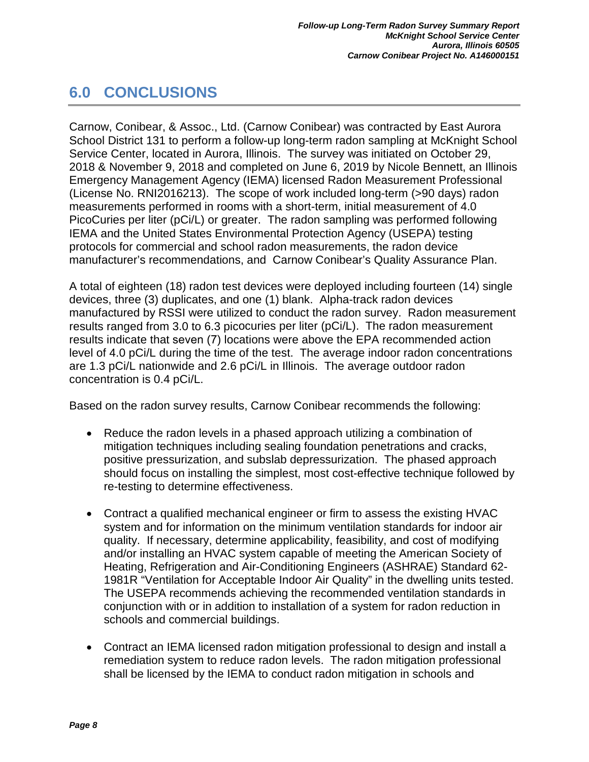## <span id="page-10-0"></span>**6.0 CONCLUSIONS**

Carnow, Conibear, & Assoc., Ltd. (Carnow Conibear) was contracted by East Aurora School District 131 to perform a follow-up long-term radon sampling at McKnight School Service Center, located in Aurora, Illinois. The survey was initiated on October 29, 2018 & November 9, 2018 and completed on June 6, 2019 by Nicole Bennett, an Illinois Emergency Management Agency (IEMA) licensed Radon Measurement Professional (License No. RNI2016213). The scope of work included long-term (>90 days) radon measurements performed in rooms with a short-term, initial measurement of 4.0 PicoCuries per liter (pCi/L) or greater. The radon sampling was performed following IEMA and the United States Environmental Protection Agency (USEPA) testing protocols for commercial and school radon measurements, the radon device manufacturer's recommendations, and Carnow Conibear's Quality Assurance Plan.

A total of eighteen (18) radon test devices were deployed including fourteen (14) single devices, three (3) duplicates, and one (1) blank. Alpha-track radon devices manufactured by RSSI were utilized to conduct the radon survey. Radon measurement results ranged from 3.0 to 6.3 picocuries per liter (pCi/L). The radon measurement results indicate that seven (7) locations were above the EPA recommended action level of 4.0 pCi/L during the time of the test. The average indoor radon concentrations are 1.3 pCi/L nationwide and 2.6 pCi/L in Illinois. The average outdoor radon concentration is 0.4 pCi/L.

Based on the radon survey results, Carnow Conibear recommends the following:

- Reduce the radon levels in a phased approach utilizing a combination of mitigation techniques including sealing foundation penetrations and cracks, positive pressurization, and subslab depressurization. The phased approach should focus on installing the simplest, most cost-effective technique followed by re-testing to determine effectiveness.
- Contract a qualified mechanical engineer or firm to assess the existing HVAC system and for information on the minimum ventilation standards for indoor air quality. If necessary, determine applicability, feasibility, and cost of modifying and/or installing an HVAC system capable of meeting the American Society of Heating, Refrigeration and Air-Conditioning Engineers (ASHRAE) Standard 62- 1981R "Ventilation for Acceptable Indoor Air Quality" in the dwelling units tested. The USEPA recommends achieving the recommended ventilation standards in conjunction with or in addition to installation of a system for radon reduction in schools and commercial buildings.
- Contract an IEMA licensed radon mitigation professional to design and install a remediation system to reduce radon levels. The radon mitigation professional shall be licensed by the IEMA to conduct radon mitigation in schools and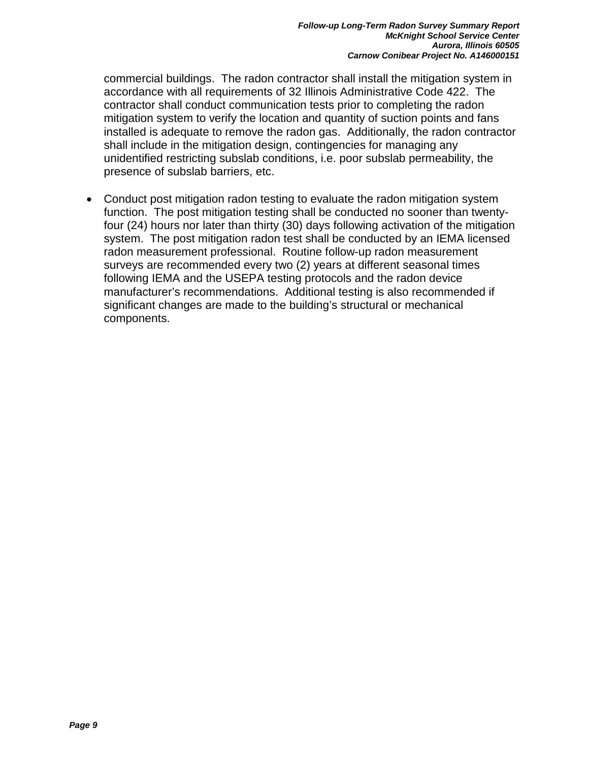commercial buildings. The radon contractor shall install the mitigation system in accordance with all requirements of 32 Illinois Administrative Code 422. The contractor shall conduct communication tests prior to completing the radon mitigation system to verify the location and quantity of suction points and fans installed is adequate to remove the radon gas. Additionally, the radon contractor shall include in the mitigation design, contingencies for managing any unidentified restricting subslab conditions, i.e. poor subslab permeability, the presence of subslab barriers, etc.

• Conduct post mitigation radon testing to evaluate the radon mitigation system function. The post mitigation testing shall be conducted no sooner than twentyfour (24) hours nor later than thirty (30) days following activation of the mitigation system. The post mitigation radon test shall be conducted by an IEMA licensed radon measurement professional. Routine follow-up radon measurement surveys are recommended every two (2) years at different seasonal times following IEMA and the USEPA testing protocols and the radon device manufacturer's recommendations. Additional testing is also recommended if significant changes are made to the building's structural or mechanical components.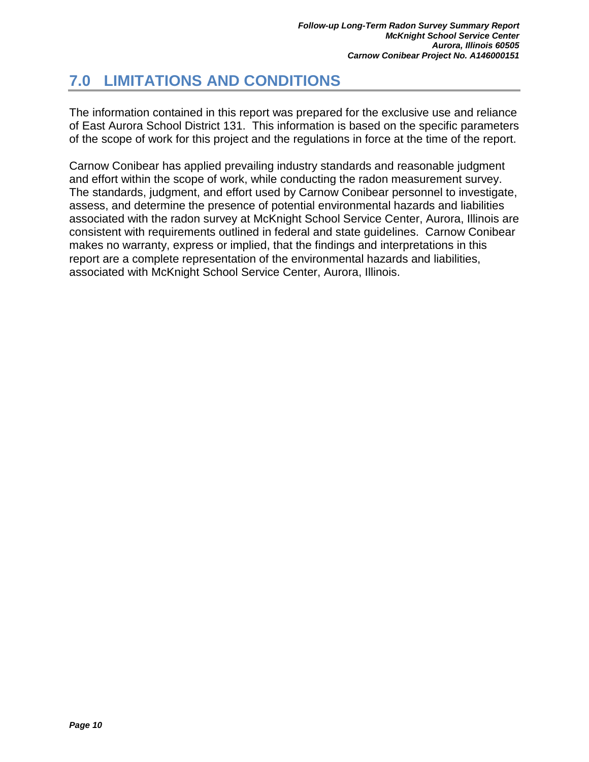## <span id="page-12-0"></span>**7.0 LIMITATIONS AND CONDITIONS**

The information contained in this report was prepared for the exclusive use and reliance of East Aurora School District 131. This information is based on the specific parameters of the scope of work for this project and the regulations in force at the time of the report.

Carnow Conibear has applied prevailing industry standards and reasonable judgment and effort within the scope of work, while conducting the radon measurement survey. The standards, judgment, and effort used by Carnow Conibear personnel to investigate, assess, and determine the presence of potential environmental hazards and liabilities associated with the radon survey at McKnight School Service Center, Aurora, Illinois are consistent with requirements outlined in federal and state guidelines. Carnow Conibear makes no warranty, express or implied, that the findings and interpretations in this report are a complete representation of the environmental hazards and liabilities, associated with McKnight School Service Center, Aurora, Illinois.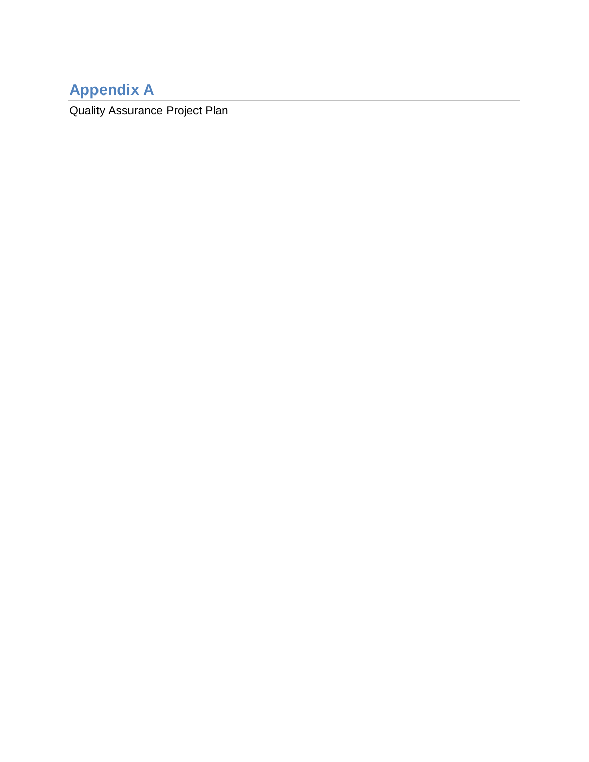# **Appendix A**

Quality Assurance Project Plan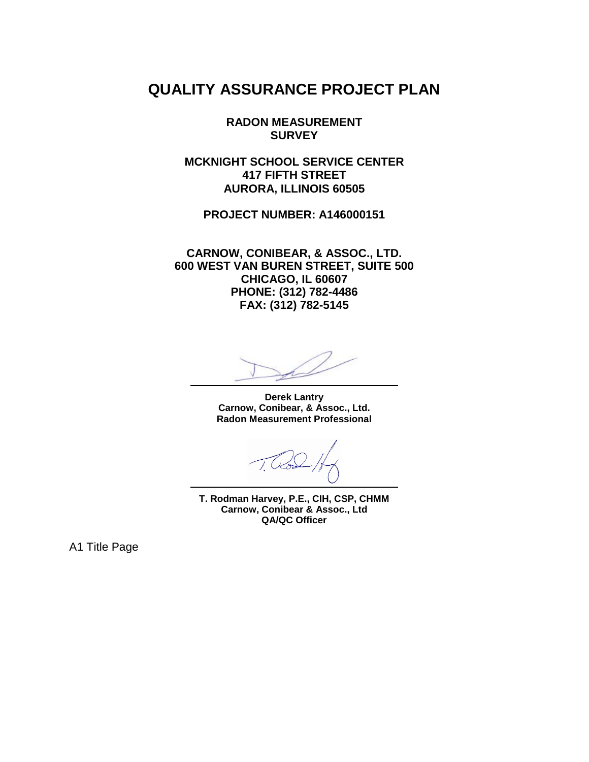## **QUALITY ASSURANCE PROJECT PLAN**

**RADON MEASUREMENT SURVEY** 

**MCKNIGHT SCHOOL SERVICE CENTER 417 FIFTH STREET AURORA, ILLINOIS 60505**

**PROJECT NUMBER: A146000151**

**CARNOW, CONIBEAR, & ASSOC., LTD. 600 WEST VAN BUREN STREET, SUITE 500 CHICAGO, IL 60607 PHONE: (312) 782-4486 FAX: (312) 782-5145**

**Derek Lantry Carnow, Conibear, & Assoc., Ltd. Radon Measurement Professional**

**T. Rodman Harvey, P.E., CIH, CSP, CHMM Carnow, Conibear & Assoc., Ltd QA/QC Officer**

A1 Title Page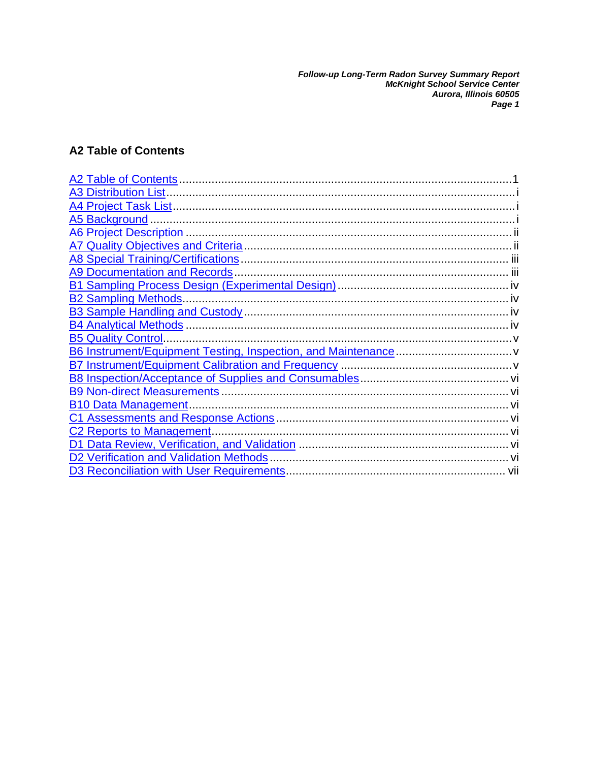Follow-up Long-Term Radon Survey Summary Report<br>McKnight School Service Center<br>Aurora, Illinois 60505<br>Page 1

## **A2 Table of Contents**

| <b>A2 Table of Contents</b>               |      |
|-------------------------------------------|------|
| <b>A3 Distribution List.</b>              |      |
|                                           |      |
| <b>A5 Background</b>                      |      |
| <b>A6 Project Description</b>             |      |
|                                           |      |
| A8 Special Training/Certifications        |      |
| <b>A9 Documentation and Records</b>       |      |
|                                           |      |
|                                           |      |
|                                           |      |
| <b>B4 Analytical Methods.</b>             |      |
| <b>B5 Quality Control</b>                 |      |
|                                           |      |
|                                           |      |
|                                           |      |
| <b>B9 Non-direct Measurements.</b>        |      |
| <b>B10 Data Management.</b>               |      |
|                                           |      |
| C2 Reports to Management.                 |      |
| D1.                                       |      |
| D2 Verification and Validation Methods    |      |
| D3 Reconciliation with User Requirements. | -vii |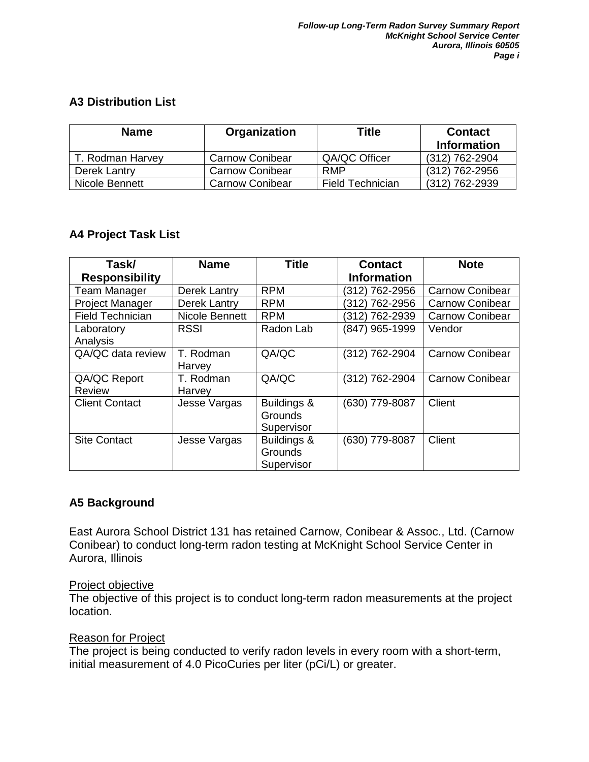## **A3 Distribution List**

| <b>Name</b><br>Organization |                        | Title                   | <b>Contact</b> |
|-----------------------------|------------------------|-------------------------|----------------|
|                             |                        |                         | Information    |
| T. Rodman Harvey            | Carnow Conibear        | QA/QC Officer           | (312) 762-2904 |
| Derek Lantry                | <b>Carnow Conibear</b> | <b>RMP</b>              | (312) 762-2956 |
| Nicole Bennett              | <b>Carnow Conibear</b> | <b>Field Technician</b> | (312) 762-2939 |

## **A4 Project Task List**

| Task/                         | <b>Name</b>         | <b>Title</b>                                | <b>Contact</b>     | <b>Note</b>            |
|-------------------------------|---------------------|---------------------------------------------|--------------------|------------------------|
| <b>Responsibility</b>         |                     |                                             | <b>Information</b> |                        |
| <b>Team Manager</b>           | <b>Derek Lantry</b> | <b>RPM</b>                                  | (312) 762-2956     | <b>Carnow Conibear</b> |
| Project Manager               | Derek Lantry        | <b>RPM</b>                                  | (312) 762-2956     | <b>Carnow Conibear</b> |
| <b>Field Technician</b>       | Nicole Bennett      | <b>RPM</b>                                  | (312) 762-2939     | <b>Carnow Conibear</b> |
| Laboratory<br>Analysis        | <b>RSSI</b>         | Radon Lab                                   | (847) 965-1999     | Vendor                 |
| QA/QC data review             | T. Rodman<br>Harvey | QA/QC                                       | (312) 762-2904     | <b>Carnow Conibear</b> |
| QA/QC Report<br><b>Review</b> | T. Rodman<br>Harvey | QA/QC                                       | (312) 762-2904     | <b>Carnow Conibear</b> |
| <b>Client Contact</b>         | Jesse Vargas        | Buildings &<br><b>Grounds</b><br>Supervisor | (630) 779-8087     | Client                 |
| <b>Site Contact</b>           | Jesse Vargas        | Buildings &<br><b>Grounds</b><br>Supervisor | (630) 779-8087     | Client                 |

## **A5 Background**

East Aurora School District 131 has retained Carnow, Conibear & Assoc., Ltd. (Carnow Conibear) to conduct long-term radon testing at McKnight School Service Center in Aurora, Illinois

#### Project objective

The objective of this project is to conduct long-term radon measurements at the project location.

#### Reason for Project

The project is being conducted to verify radon levels in every room with a short-term, initial measurement of 4.0 PicoCuries per liter (pCi/L) or greater.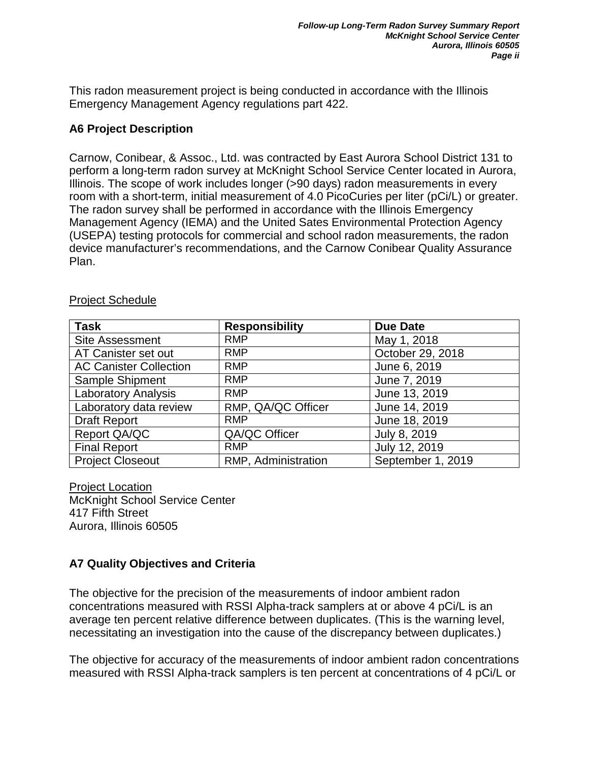This radon measurement project is being conducted in accordance with the Illinois Emergency Management Agency regulations part 422.

#### **A6 Project Description**

Carnow, Conibear, & Assoc., Ltd. was contracted by East Aurora School District 131 to perform a long-term radon survey at McKnight School Service Center located in Aurora, Illinois. The scope of work includes longer (>90 days) radon measurements in every room with a short-term, initial measurement of 4.0 PicoCuries per liter (pCi/L) or greater. The radon survey shall be performed in accordance with the Illinois Emergency Management Agency (IEMA) and the United Sates Environmental Protection Agency (USEPA) testing protocols for commercial and school radon measurements, the radon device manufacturer's recommendations, and the Carnow Conibear Quality Assurance Plan.

| <b>Task</b>                   | <b>Responsibility</b> | <b>Due Date</b>   |
|-------------------------------|-----------------------|-------------------|
| <b>Site Assessment</b>        | <b>RMP</b>            | May 1, 2018       |
| AT Canister set out           | <b>RMP</b>            | October 29, 2018  |
| <b>AC Canister Collection</b> | <b>RMP</b>            | June 6, 2019      |
| Sample Shipment               | <b>RMP</b>            | June 7, 2019      |
| <b>Laboratory Analysis</b>    | <b>RMP</b>            | June 13, 2019     |
| Laboratory data review        | RMP, QA/QC Officer    | June 14, 2019     |
| <b>Draft Report</b>           | <b>RMP</b>            | June 18, 2019     |
| Report QA/QC                  | QA/QC Officer         | July 8, 2019      |
| <b>Final Report</b>           | <b>RMP</b>            | July 12, 2019     |
| <b>Project Closeout</b>       | RMP, Administration   | September 1, 2019 |

#### Project Schedule

Project Location McKnight School Service Center 417 Fifth Street Aurora, Illinois 60505

## **A7 Quality Objectives and Criteria**

The objective for the precision of the measurements of indoor ambient radon concentrations measured with RSSI Alpha-track samplers at or above 4 pCi/L is an average ten percent relative difference between duplicates. (This is the warning level, necessitating an investigation into the cause of the discrepancy between duplicates.)

The objective for accuracy of the measurements of indoor ambient radon concentrations measured with RSSI Alpha-track samplers is ten percent at concentrations of 4 pCi/L or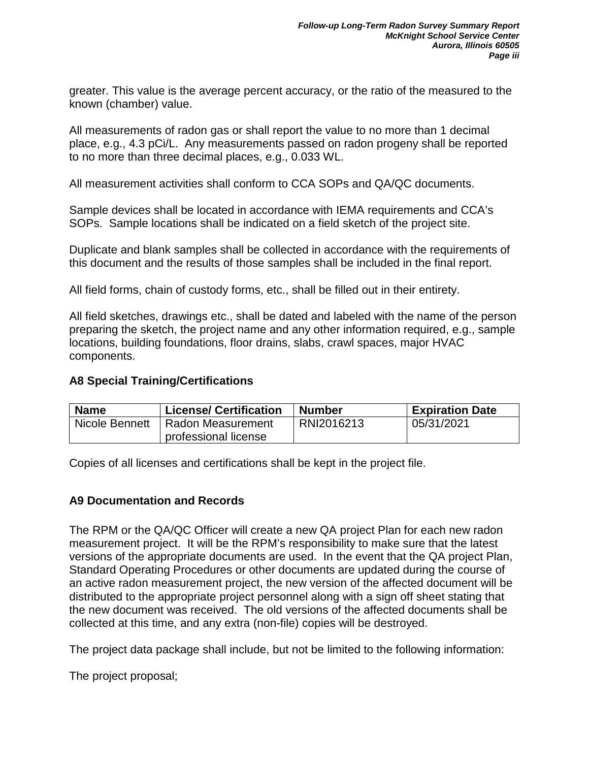greater. This value is the average percent accuracy, or the ratio of the measured to the known (chamber) value.

All measurements of radon gas or shall report the value to no more than 1 decimal place, e.g., 4.3 pCi/L. Any measurements passed on radon progeny shall be reported to no more than three decimal places, e.g., 0.033 WL.

All measurement activities shall conform to CCA SOPs and QA/QC documents.

Sample devices shall be located in accordance with IEMA requirements and CCA's SOPs. Sample locations shall be indicated on a field sketch of the project site.

Duplicate and blank samples shall be collected in accordance with the requirements of this document and the results of those samples shall be included in the final report.

All field forms, chain of custody forms, etc., shall be filled out in their entirety.

All field sketches, drawings etc., shall be dated and labeled with the name of the person preparing the sketch, the project name and any other information required, e.g., sample locations, building foundations, floor drains, slabs, crawl spaces, major HVAC components.

#### **A8 Special Training/Certifications**

| <b>Name</b>    | <b>License/ Certification</b> | <b>Number</b> | <b>Expiration Date</b> |
|----------------|-------------------------------|---------------|------------------------|
| Nicole Bennett | l Radon Measurement           | RNI2016213    | 05/31/2021             |
|                | professional license          |               |                        |

Copies of all licenses and certifications shall be kept in the project file.

#### **A9 Documentation and Records**

The RPM or the QA/QC Officer will create a new QA project Plan for each new radon measurement project. It will be the RPM's responsibility to make sure that the latest versions of the appropriate documents are used. In the event that the QA project Plan, Standard Operating Procedures or other documents are updated during the course of an active radon measurement project, the new version of the affected document will be distributed to the appropriate project personnel along with a sign off sheet stating that the new document was received. The old versions of the affected documents shall be collected at this time, and any extra (non-file) copies will be destroyed.

The project data package shall include, but not be limited to the following information:

The project proposal;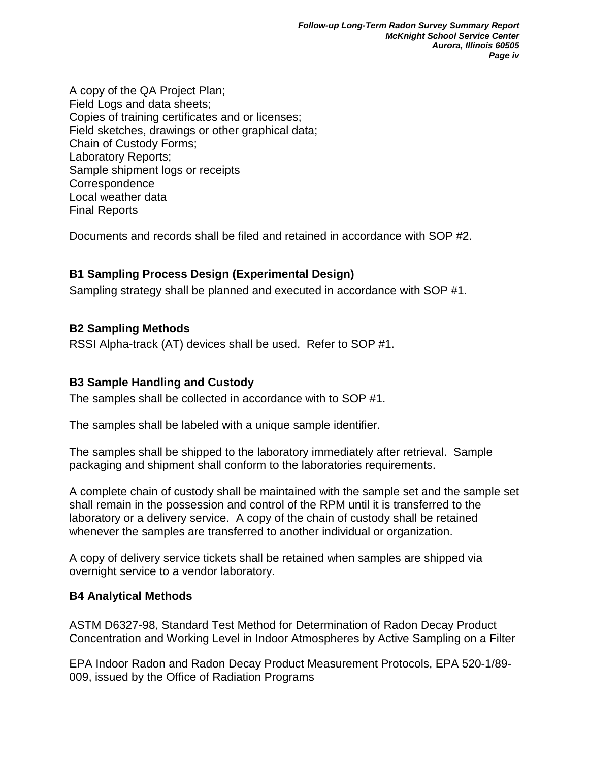A copy of the QA Project Plan; Field Logs and data sheets; Copies of training certificates and or licenses; Field sketches, drawings or other graphical data; Chain of Custody Forms; Laboratory Reports; Sample shipment logs or receipts **Correspondence** Local weather data Final Reports

Documents and records shall be filed and retained in accordance with SOP #2.

## **B1 Sampling Process Design (Experimental Design)**

Sampling strategy shall be planned and executed in accordance with SOP #1.

## **B2 Sampling Methods**

RSSI Alpha-track (AT) devices shall be used. Refer to SOP #1.

#### **B3 Sample Handling and Custody**

The samples shall be collected in accordance with to SOP #1.

The samples shall be labeled with a unique sample identifier.

The samples shall be shipped to the laboratory immediately after retrieval. Sample packaging and shipment shall conform to the laboratories requirements.

A complete chain of custody shall be maintained with the sample set and the sample set shall remain in the possession and control of the RPM until it is transferred to the laboratory or a delivery service. A copy of the chain of custody shall be retained whenever the samples are transferred to another individual or organization.

A copy of delivery service tickets shall be retained when samples are shipped via overnight service to a vendor laboratory.

#### **B4 Analytical Methods**

ASTM D6327-98, Standard Test Method for Determination of Radon Decay Product Concentration and Working Level in Indoor Atmospheres by Active Sampling on a Filter

EPA Indoor Radon and Radon Decay Product Measurement Protocols, EPA 520-1/89- 009, issued by the Office of Radiation Programs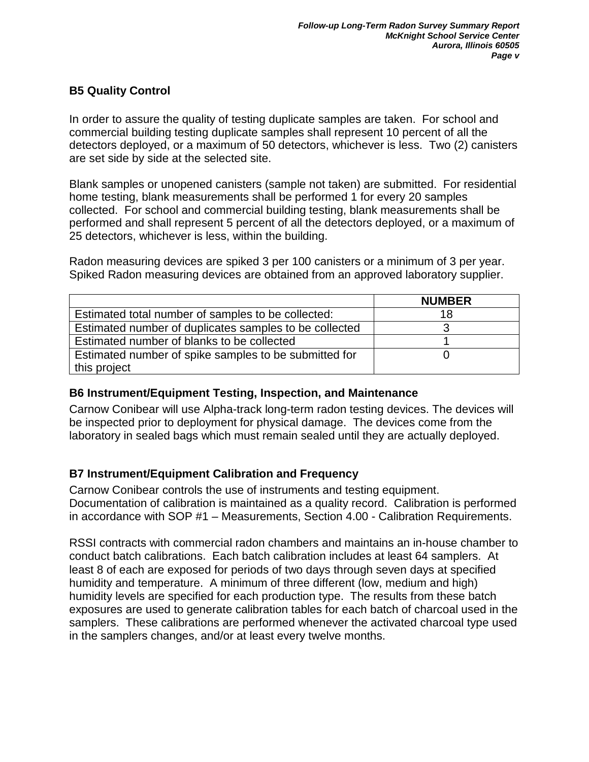## **B5 Quality Control**

In order to assure the quality of testing duplicate samples are taken. For school and commercial building testing duplicate samples shall represent 10 percent of all the detectors deployed, or a maximum of 50 detectors, whichever is less. Two (2) canisters are set side by side at the selected site.

Blank samples or unopened canisters (sample not taken) are submitted. For residential home testing, blank measurements shall be performed 1 for every 20 samples collected. For school and commercial building testing, blank measurements shall be performed and shall represent 5 percent of all the detectors deployed, or a maximum of 25 detectors, whichever is less, within the building.

Radon measuring devices are spiked 3 per 100 canisters or a minimum of 3 per year. Spiked Radon measuring devices are obtained from an approved laboratory supplier.

|                                                        | <b>NUMBER</b> |
|--------------------------------------------------------|---------------|
| Estimated total number of samples to be collected:     | 18            |
| Estimated number of duplicates samples to be collected |               |
| Estimated number of blanks to be collected             |               |
| Estimated number of spike samples to be submitted for  |               |
| this project                                           |               |

## **B6 Instrument/Equipment Testing, Inspection, and Maintenance**

Carnow Conibear will use Alpha-track long-term radon testing devices. The devices will be inspected prior to deployment for physical damage. The devices come from the laboratory in sealed bags which must remain sealed until they are actually deployed.

## **B7 Instrument/Equipment Calibration and Frequency**

Carnow Conibear controls the use of instruments and testing equipment. Documentation of calibration is maintained as a quality record. Calibration is performed in accordance with SOP #1 – Measurements, Section 4.00 - Calibration Requirements.

RSSI contracts with commercial radon chambers and maintains an in-house chamber to conduct batch calibrations. Each batch calibration includes at least 64 samplers. At least 8 of each are exposed for periods of two days through seven days at specified humidity and temperature. A minimum of three different (low, medium and high) humidity levels are specified for each production type. The results from these batch exposures are used to generate calibration tables for each batch of charcoal used in the samplers. These calibrations are performed whenever the activated charcoal type used in the samplers changes, and/or at least every twelve months.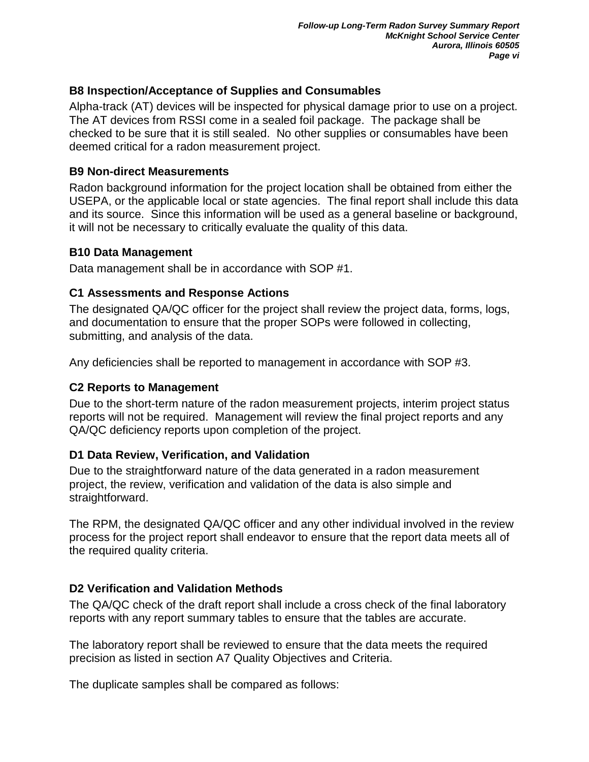## **B8 Inspection/Acceptance of Supplies and Consumables**

Alpha-track (AT) devices will be inspected for physical damage prior to use on a project. The AT devices from RSSI come in a sealed foil package. The package shall be checked to be sure that it is still sealed. No other supplies or consumables have been deemed critical for a radon measurement project.

#### **B9 Non-direct Measurements**

Radon background information for the project location shall be obtained from either the USEPA, or the applicable local or state agencies. The final report shall include this data and its source. Since this information will be used as a general baseline or background, it will not be necessary to critically evaluate the quality of this data.

#### **B10 Data Management**

Data management shall be in accordance with SOP #1.

## **C1 Assessments and Response Actions**

The designated QA/QC officer for the project shall review the project data, forms, logs, and documentation to ensure that the proper SOPs were followed in collecting, submitting, and analysis of the data.

Any deficiencies shall be reported to management in accordance with SOP #3.

## **C2 Reports to Management**

Due to the short-term nature of the radon measurement projects, interim project status reports will not be required. Management will review the final project reports and any QA/QC deficiency reports upon completion of the project.

## **D1 Data Review, Verification, and Validation**

Due to the straightforward nature of the data generated in a radon measurement project, the review, verification and validation of the data is also simple and straightforward.

The RPM, the designated QA/QC officer and any other individual involved in the review process for the project report shall endeavor to ensure that the report data meets all of the required quality criteria.

## **D2 Verification and Validation Methods**

The QA/QC check of the draft report shall include a cross check of the final laboratory reports with any report summary tables to ensure that the tables are accurate.

The laboratory report shall be reviewed to ensure that the data meets the required precision as listed in section A7 Quality Objectives and Criteria.

The duplicate samples shall be compared as follows: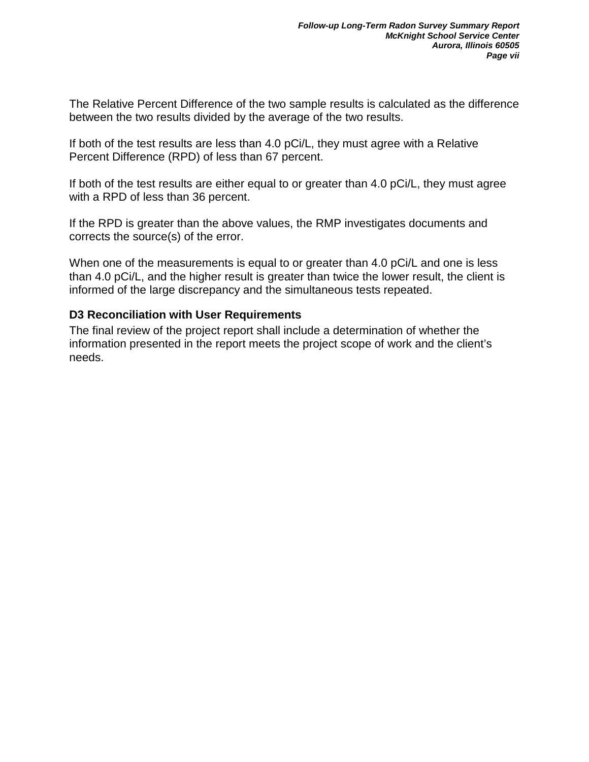The Relative Percent Difference of the two sample results is calculated as the difference between the two results divided by the average of the two results.

If both of the test results are less than 4.0 pCi/L, they must agree with a Relative Percent Difference (RPD) of less than 67 percent.

If both of the test results are either equal to or greater than 4.0 pCi/L, they must agree with a RPD of less than 36 percent.

If the RPD is greater than the above values, the RMP investigates documents and corrects the source(s) of the error.

When one of the measurements is equal to or greater than 4.0 pCi/L and one is less than 4.0 pCi/L, and the higher result is greater than twice the lower result, the client is informed of the large discrepancy and the simultaneous tests repeated.

#### **D3 Reconciliation with User Requirements**

The final review of the project report shall include a determination of whether the information presented in the report meets the project scope of work and the client's needs.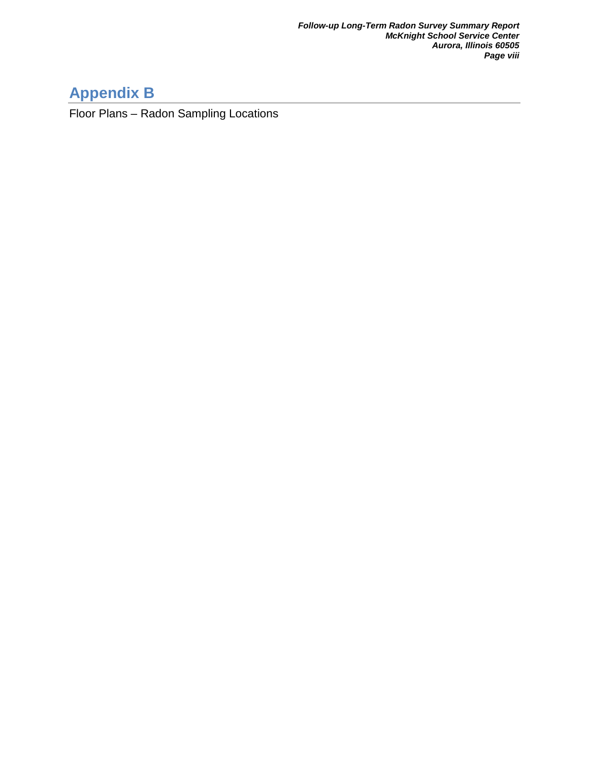# **Appendix B**

Floor Plans – Radon Sampling Locations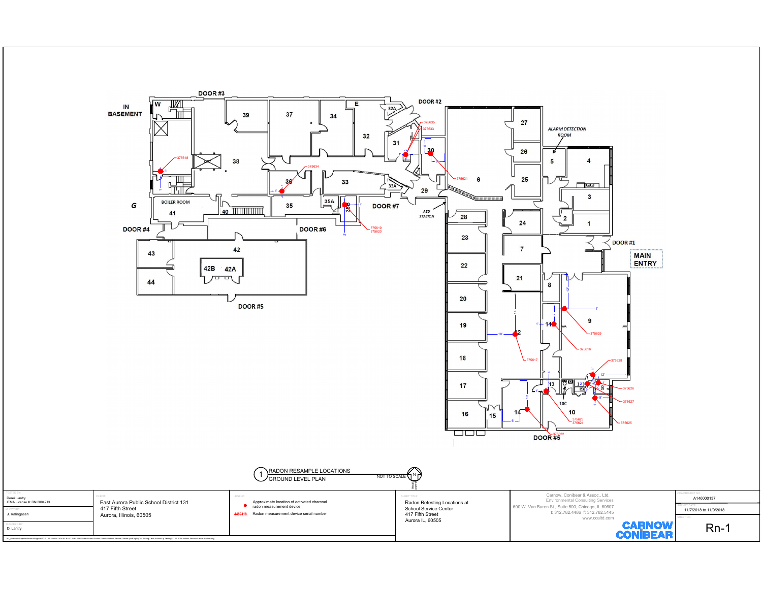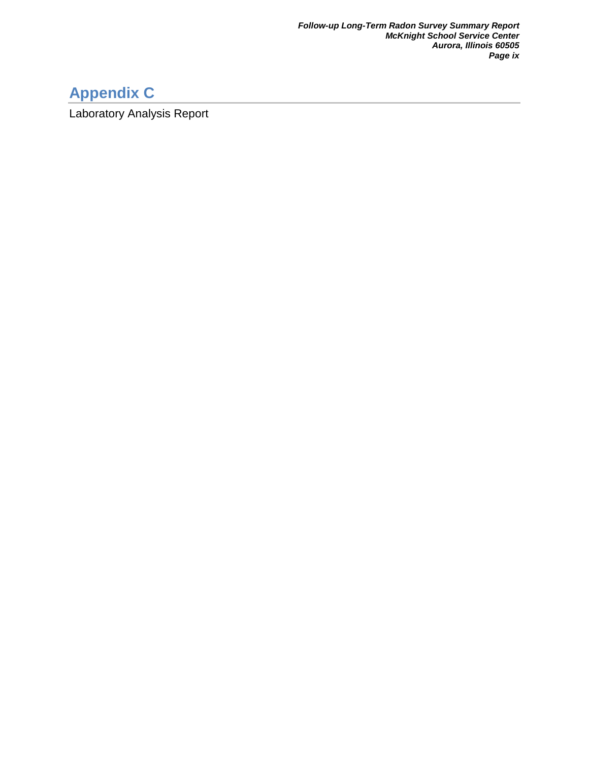# **Appendix C**

Laboratory Analysis Report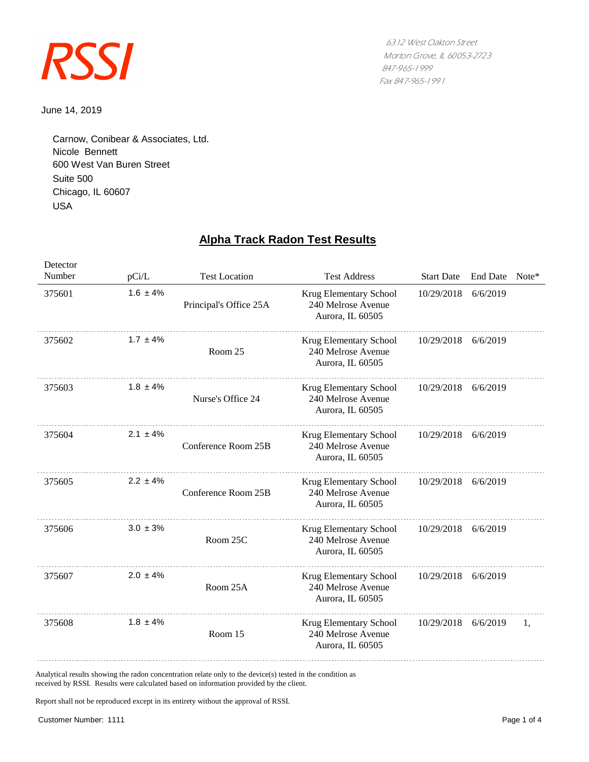

June 14, 2019

USA Suite 500 600 West Van Buren Street Nicole Bennett Chicago, IL 60607 Carnow, Conibear & Associates, Ltd.

## **Alpha Track Radon Test Results**

| Detector<br>Number | pCi/L         | <b>Test Location</b>   | <b>Test Address</b>                                              | <b>Start Date</b> | <b>End Date</b> | $Note*$ |
|--------------------|---------------|------------------------|------------------------------------------------------------------|-------------------|-----------------|---------|
| 375601             | $1.6 \pm 4\%$ | Principal's Office 25A | Krug Elementary School<br>240 Melrose Avenue<br>Aurora, IL 60505 | 10/29/2018        | 6/6/2019        |         |
| 375602             | $1.7 \pm 4\%$ | Room 25                | Krug Elementary School<br>240 Melrose Avenue<br>Aurora, IL 60505 | 10/29/2018        | 6/6/2019        |         |
| 375603             | $1.8 \pm 4\%$ | Nurse's Office 24      | Krug Elementary School<br>240 Melrose Avenue<br>Aurora, IL 60505 | 10/29/2018        | 6/6/2019        |         |
| 375604             | $2.1 \pm 4\%$ | Conference Room 25B    | Krug Elementary School<br>240 Melrose Avenue<br>Aurora, IL 60505 | 10/29/2018        | 6/6/2019        |         |
| 375605             | $2.2 \pm 4\%$ | Conference Room 25B    | Krug Elementary School<br>240 Melrose Avenue<br>Aurora, IL 60505 | 10/29/2018        | 6/6/2019        |         |
| 375606             | $3.0 \pm 3\%$ | Room 25C               | Krug Elementary School<br>240 Melrose Avenue<br>Aurora, IL 60505 | 10/29/2018        | 6/6/2019        |         |
| 375607             | $2.0 \pm 4\%$ | Room 25A               | Krug Elementary School<br>240 Melrose Avenue<br>Aurora, IL 60505 | 10/29/2018        | 6/6/2019        |         |
| 375608             | $1.8 \pm 4\%$ | Room 15                | Krug Elementary School<br>240 Melrose Avenue<br>Aurora, IL 60505 | 10/29/2018        | 6/6/2019        | 1.      |

Analytical results showing the radon concentration relate only to the device(s) tested in the condition as received by RSSI. Results were calculated based on information provided by the client.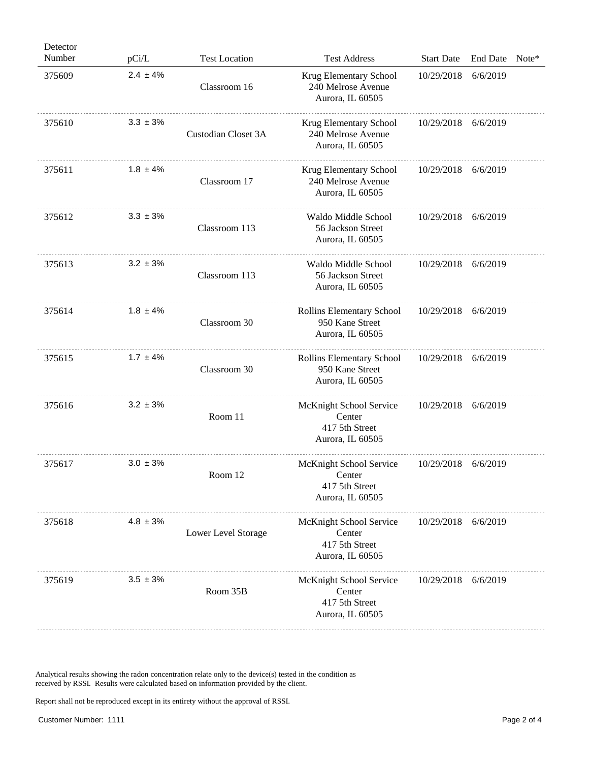| Detector<br>Number | pCi/L         | <b>Test Location</b> | <b>Test Address</b>                                                     | <b>Start Date</b>   | <b>End Date</b> | Note* |
|--------------------|---------------|----------------------|-------------------------------------------------------------------------|---------------------|-----------------|-------|
| 375609             | $2.4 \pm 4\%$ | Classroom 16         | Krug Elementary School<br>240 Melrose Avenue<br>Aurora, IL 60505        | 10/29/2018          | 6/6/2019        |       |
| 375610             | $3.3 \pm 3\%$ | Custodian Closet 3A  | Krug Elementary School<br>240 Melrose Avenue<br>Aurora, IL 60505        | 10/29/2018          | 6/6/2019        |       |
| 375611             | $1.8 \pm 4\%$ | Classroom 17         | Krug Elementary School<br>240 Melrose Avenue<br>Aurora, IL 60505        | 10/29/2018          | 6/6/2019        |       |
| 375612             | $3.3 \pm 3\%$ | Classroom 113        | Waldo Middle School<br>56 Jackson Street<br>Aurora, IL 60505            | 10/29/2018          | 6/6/2019        |       |
| 375613             | $3.2 \pm 3\%$ | Classroom 113        | Waldo Middle School<br>56 Jackson Street<br>Aurora, IL 60505            | 10/29/2018          | 6/6/2019        |       |
| 375614             | $1.8 \pm 4\%$ | Classroom 30         | Rollins Elementary School<br>950 Kane Street<br>Aurora, IL 60505        | 10/29/2018          | 6/6/2019        |       |
| 375615             | $1.7 \pm 4\%$ | Classroom 30         | Rollins Elementary School<br>950 Kane Street<br>Aurora, IL 60505        | 10/29/2018          | 6/6/2019        |       |
| 375616             | $3.2 \pm 3\%$ | Room 11              | McKnight School Service<br>Center<br>417 5th Street<br>Aurora, IL 60505 | 10/29/2018          | 6/6/2019        |       |
| 375617             | $3.0 \pm 3\%$ | Room 12              | McKnight School Service<br>Center<br>417 5th Street<br>Aurora, IL 60505 | 10/29/2018          | 6/6/2019        |       |
| 375618             | $4.8 \pm 3\%$ | Lower Level Storage  | McKnight School Service<br>Center<br>417 5th Street<br>Aurora, IL 60505 | 10/29/2018 6/6/2019 |                 |       |
| 375619             | $3.5 \pm 3\%$ | Room 35B             | McKnight School Service<br>Center<br>417 5th Street<br>Aurora, IL 60505 | 10/29/2018 6/6/2019 |                 |       |

Analytical results showing the radon concentration relate only to the device(s) tested in the condition as received by RSSI. Results were calculated based on information provided by the client.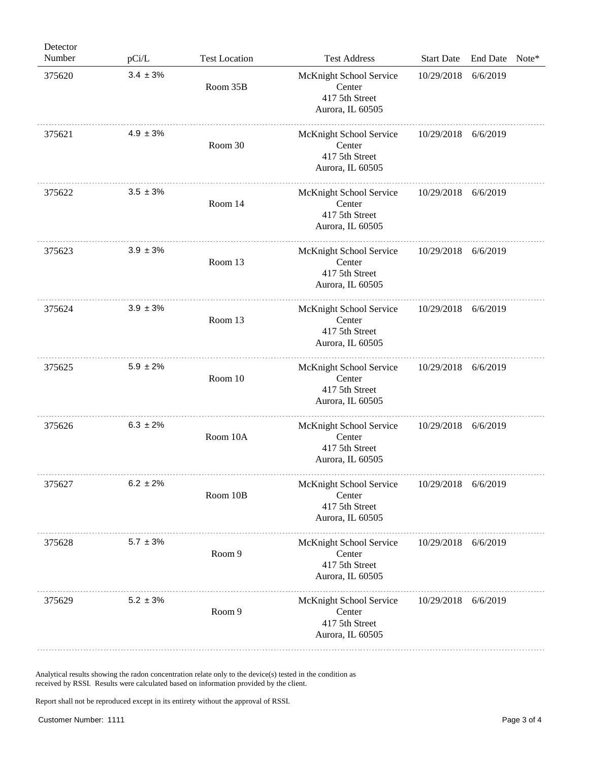| Detector<br>Number | pCi/L         | <b>Test Location</b> | <b>Test Address</b>                                                     | <b>Start Date</b> | <b>End Date</b> | $Note*$ |
|--------------------|---------------|----------------------|-------------------------------------------------------------------------|-------------------|-----------------|---------|
| 375620             | $3.4 \pm 3\%$ | Room 35B             | McKnight School Service<br>Center<br>417 5th Street<br>Aurora, IL 60505 | 10/29/2018        | 6/6/2019        |         |
| 375621             | $4.9 \pm 3\%$ | Room 30              | McKnight School Service<br>Center<br>417 5th Street<br>Aurora, IL 60505 | 10/29/2018        | 6/6/2019        |         |
| 375622             | $3.5 \pm 3\%$ | Room 14              | McKnight School Service<br>Center<br>417 5th Street<br>Aurora, IL 60505 | 10/29/2018        | 6/6/2019        |         |
| 375623             | $3.9 \pm 3\%$ | Room 13              | McKnight School Service<br>Center<br>417 5th Street<br>Aurora, IL 60505 | 10/29/2018        | 6/6/2019        |         |
| 375624             | $3.9 \pm 3\%$ | Room 13              | McKnight School Service<br>Center<br>417 5th Street<br>Aurora, IL 60505 | 10/29/2018        | 6/6/2019        |         |
| 375625             | $5.9 \pm 2\%$ | Room 10              | McKnight School Service<br>Center<br>417 5th Street<br>Aurora, IL 60505 | 10/29/2018        | 6/6/2019        |         |
| 375626             | $6.3 \pm 2\%$ | Room 10A             | McKnight School Service<br>Center<br>417 5th Street<br>Aurora, IL 60505 | 10/29/2018        | 6/6/2019        |         |
| 375627             | $6.2 \pm 2\%$ | Room 10B             | McKnight School Service<br>Center<br>417 5th Street<br>Aurora, IL 60505 | 10/29/2018        | 6/6/2019        |         |
| 375628             | $5.7 \pm 3\%$ | Room 9               | McKnight School Service<br>Center<br>417 5th Street<br>Aurora, IL 60505 | 10/29/2018        | 6/6/2019        |         |
| 375629             | $5.2 \pm 3\%$ | Room 9               | McKnight School Service<br>Center<br>417 5th Street<br>Aurora, IL 60505 | 10/29/2018        | 6/6/2019        |         |

Analytical results showing the radon concentration relate only to the device(s) tested in the condition as received by RSSI. Results were calculated based on information provided by the client.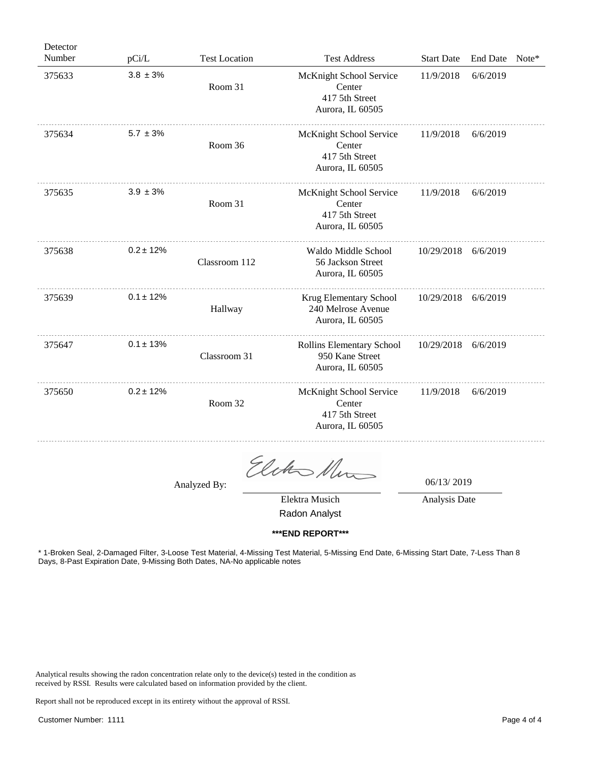| Detector |                |                      |                                                                         |                   |                 |         |
|----------|----------------|----------------------|-------------------------------------------------------------------------|-------------------|-----------------|---------|
| Number   | pCi/L          | <b>Test Location</b> | <b>Test Address</b>                                                     | <b>Start Date</b> | <b>End Date</b> | $Note*$ |
| 375633   | $3.8 \pm 3\%$  | Room 31              | McKnight School Service<br>Center<br>417 5th Street<br>Aurora, IL 60505 | 11/9/2018         | 6/6/2019        |         |
| 375634   | $5.7 \pm 3\%$  | Room 36              | McKnight School Service<br>Center<br>417 5th Street<br>Aurora, IL 60505 | 11/9/2018         | 6/6/2019        |         |
| 375635   | $3.9 \pm 3\%$  | Room 31              | McKnight School Service<br>Center<br>417 5th Street<br>Aurora, IL 60505 | 11/9/2018         | 6/6/2019        |         |
| 375638   | $0.2 \pm 12\%$ | Classroom 112        | Waldo Middle School<br>56 Jackson Street<br>Aurora, IL 60505            | 10/29/2018        | 6/6/2019        |         |
| 375639   | $0.1 \pm 12\%$ | Hallway              | Krug Elementary School<br>240 Melrose Avenue<br>Aurora, IL 60505        | 10/29/2018        | 6/6/2019        |         |
| 375647   | $0.1 \pm 13\%$ | Classroom 31         | Rollins Elementary School<br>950 Kane Street<br>Aurora, IL 60505        | 10/29/2018        | 6/6/2019        |         |
| 375650   | $0.2 \pm 12\%$ | Room 32              | McKnight School Service<br>Center<br>417 5th Street<br>Aurora, IL 60505 | 11/9/2018         | 6/6/2019        |         |
|          |                |                      |                                                                         |                   |                 |         |

Elcho Num

06/13/ 2019

Elektra Musich Analysis Date

Radon Analyst

**\*\*\*END REPORT\*\*\***

\* 1-Broken Seal, 2-Damaged Filter, 3-Loose Test Material, 4-Missing Test Material, 5-Missing End Date, 6-Missing Start Date, 7-Less Than 8 Days, 8-Past Expiration Date, 9-Missing Both Dates, NA-No applicable notes

Analytical results showing the radon concentration relate only to the device(s) tested in the condition as received by RSSI. Results were calculated based on information provided by the client.

Analyzed By: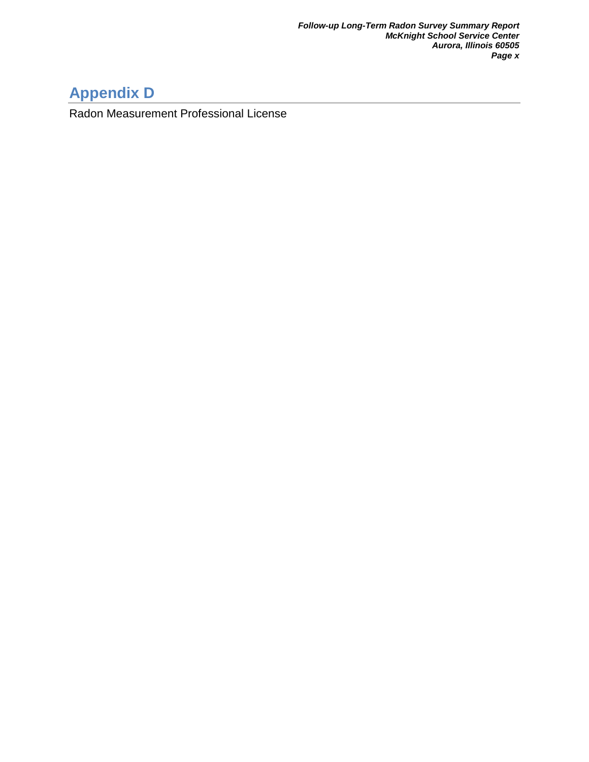# **Appendix D**

Radon Measurement Professional License